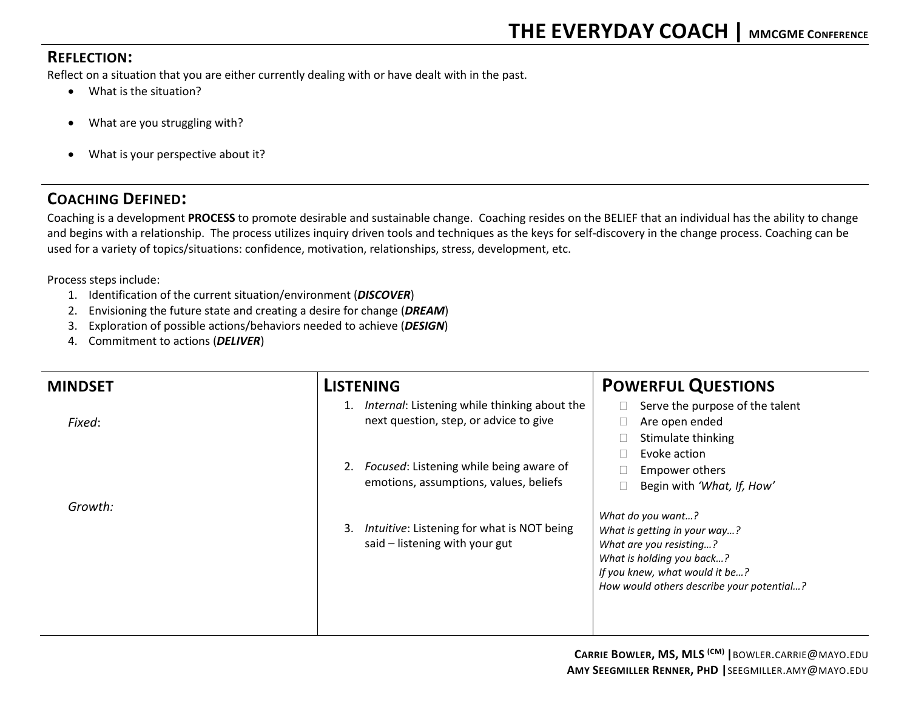## **REFLECTION:**

Reflect on a situation that you are either currently dealing with or have dealt with in the past.

- What is the situation?
- What are you struggling with?
- What is your perspective about it?

## **COACHING DEFINED:**

Coaching is a development **PROCESS** to promote desirable and sustainable change. Coaching resides on the BELIEF that an individual has the ability to change and begins with a relationship. The process utilizes inquiry driven tools and techniques as the keys for self-discovery in the change process. Coaching can be used for a variety of topics/situations: confidence, motivation, relationships, stress, development, etc.

Process steps include:

- 1. Identification of the current situation/environment (*DISCOVER*)
- 2. Envisioning the future state and creating a desire for change (*DREAM*)
- 3. Exploration of possible actions/behaviors needed to achieve (*DESIGN*)
- 4. Commitment to actions (*DELIVER*)

| <b>MINDSET</b> | <b>LISTENING</b>                                                                          | <b>POWERFUL QUESTIONS</b>                                                                                                                                                                |
|----------------|-------------------------------------------------------------------------------------------|------------------------------------------------------------------------------------------------------------------------------------------------------------------------------------------|
| Fixed:         | 1. Internal: Listening while thinking about the<br>next question, step, or advice to give | Serve the purpose of the talent<br>Are open ended<br>Stimulate thinking                                                                                                                  |
|                | Focused: Listening while being aware of<br>2.<br>emotions, assumptions, values, beliefs   | Evoke action<br>Empower others<br>Begin with 'What, If, How'                                                                                                                             |
| Growth:        | Intuitive: Listening for what is NOT being<br>3.<br>said - listening with your gut        | What do you want?<br>What is getting in your way?<br>What are you resisting?<br>What is holding you back?<br>If you knew, what would it be?<br>How would others describe your potential? |
|                |                                                                                           |                                                                                                                                                                                          |